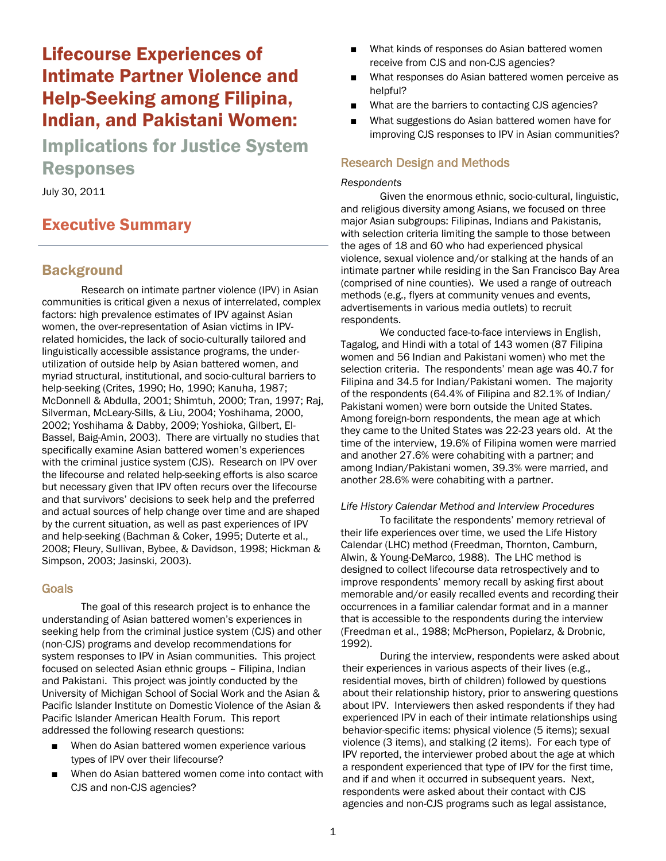# Lifecourse Experiences of Intimate Partner Violence and Help-Seeking among Filipina, Indian, and Pakistani Women:

Implications for Justice System Responses

July 30, 2011

# Executive Summary

# **Background**

Research on intimate partner violence (IPV) in Asian communities is critical given a nexus of interrelated, complex factors: high prevalence estimates of IPV against Asian women, the over-representation of Asian victims in IPVrelated homicides, the lack of socio-culturally tailored and linguistically accessible assistance programs, the underutilization of outside help by Asian battered women, and myriad structural, institutional, and socio-cultural barriers to help-seeking (Crites, 1990; Ho, 1990; Kanuha, 1987; McDonnell & Abdulla, 2001; Shimtuh, 2000; Tran, 1997; Raj, Silverman, McLeary-Sills, & Liu, 2004; Yoshihama, 2000, 2002; Yoshihama & Dabby, 2009; Yoshioka, Gilbert, El-Bassel, Baig-Amin, 2003). There are virtually no studies that specifically examine Asian battered women's experiences with the criminal justice system (CJS). Research on IPV over the lifecourse and related help-seeking efforts is also scarce but necessary given that IPV often recurs over the lifecourse and that survivors' decisions to seek help and the preferred and actual sources of help change over time and are shaped by the current situation, as well as past experiences of IPV and help-seeking (Bachman & Coker, 1995; Duterte et al., 2008; Fleury, Sullivan, Bybee, & Davidson, 1998; Hickman & Simpson, 2003; Jasinski, 2003).

### Goals

The goal of this research project is to enhance the understanding of Asian battered women's experiences in seeking help from the criminal justice system (CJS) and other (non-CJS) programs and develop recommendations for system responses to IPV in Asian communities. This project focused on selected Asian ethnic groups – Filipina, Indian and Pakistani. This project was jointly conducted by the University of Michigan School of Social Work and the Asian & Pacific Islander Institute on Domestic Violence of the Asian & Pacific Islander American Health Forum. This report addressed the following research questions:

- When do Asian battered women experience various types of IPV over their lifecourse?
- When do Asian battered women come into contact with CJS and non-CJS agencies?
- What kinds of responses do Asian battered women receive from CJS and non-CJS agencies?
- What responses do Asian battered women perceive as helpful?
- What are the barriers to contacting CJS agencies?
- What suggestions do Asian battered women have for improving CJS responses to IPV in Asian communities?

### Research Design and Methods

#### *Respondents*

Given the enormous ethnic, socio-cultural, linguistic, and religious diversity among Asians, we focused on three major Asian subgroups: Filipinas, Indians and Pakistanis, with selection criteria limiting the sample to those between the ages of 18 and 60 who had experienced physical violence, sexual violence and/or stalking at the hands of an intimate partner while residing in the San Francisco Bay Area (comprised of nine counties). We used a range of outreach methods (e.g., flyers at community venues and events, advertisements in various media outlets) to recruit respondents.

We conducted face-to-face interviews in English, Tagalog, and Hindi with a total of 143 women (87 Filipina women and 56 Indian and Pakistani women) who met the selection criteria. The respondents' mean age was 40.7 for Filipina and 34.5 for Indian/Pakistani women. The majority of the respondents (64.4% of Filipina and 82.1% of Indian/ Pakistani women) were born outside the United States. Among foreign-born respondents, the mean age at which they came to the United States was 22-23 years old. At the time of the interview, 19.6% of Filipina women were married and another 27.6% were cohabiting with a partner; and among Indian/Pakistani women, 39.3% were married, and another 28.6% were cohabiting with a partner.

#### *Life History Calendar Method and Interview Procedures*

To facilitate the respondents' memory retrieval of their life experiences over time, we used the Life History Calendar (LHC) method (Freedman, Thornton, Camburn, Alwin, & Young-DeMarco, 1988). The LHC method is designed to collect lifecourse data retrospectively and to improve respondents' memory recall by asking first about memorable and/or easily recalled events and recording their occurrences in a familiar calendar format and in a manner that is accessible to the respondents during the interview (Freedman et al., 1988; McPherson, Popielarz, & Drobnic, 1992).

During the interview, respondents were asked about their experiences in various aspects of their lives (e.g., residential moves, birth of children) followed by questions about their relationship history, prior to answering questions about IPV. Interviewers then asked respondents if they had experienced IPV in each of their intimate relationships using behavior-specific items: physical violence (5 items); sexual violence (3 items), and stalking (2 items). For each type of IPV reported, the interviewer probed about the age at which a respondent experienced that type of IPV for the first time, and if and when it occurred in subsequent years. Next, respondents were asked about their contact with CJS agencies and non-CJS programs such as legal assistance,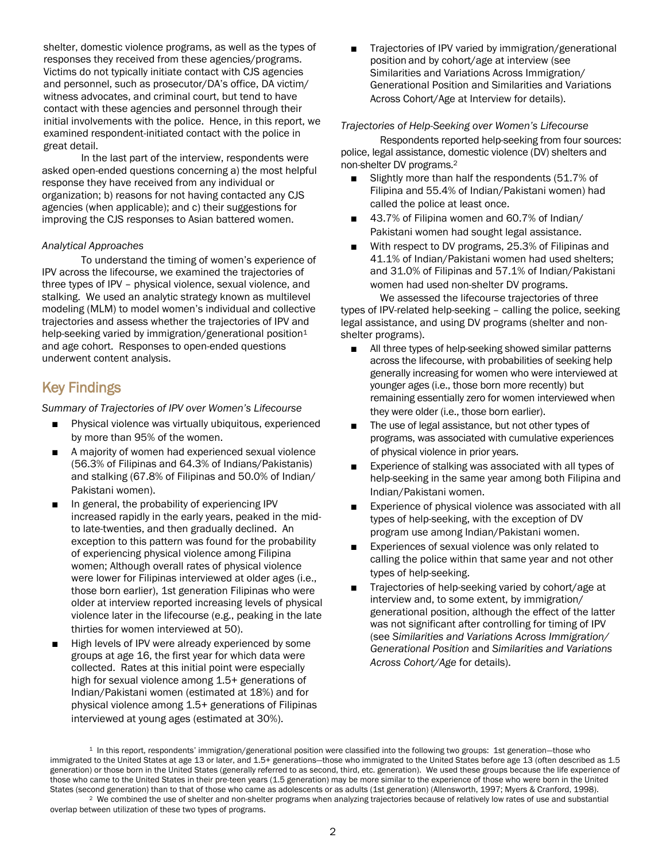shelter, domestic violence programs, as well as the types of responses they received from these agencies/programs. Victims do not typically initiate contact with CJS agencies and personnel, such as prosecutor/DA's office, DA victim/ witness advocates, and criminal court, but tend to have contact with these agencies and personnel through their initial involvements with the police. Hence, in this report, we examined respondent-initiated contact with the police in great detail.

In the last part of the interview, respondents were asked open-ended questions concerning a) the most helpful response they have received from any individual or organization; b) reasons for not having contacted any CJS agencies (when applicable); and c) their suggestions for improving the CJS responses to Asian battered women.

#### *Analytical Approaches*

To understand the timing of women's experience of IPV across the lifecourse, we examined the trajectories of three types of IPV – physical violence, sexual violence, and stalking. We used an analytic strategy known as multilevel modeling (MLM) to model women's individual and collective trajectories and assess whether the trajectories of IPV and help-seeking varied by immigration/generational position<sup>1</sup> and age cohort. Responses to open-ended questions underwent content analysis.

# Key Findings

*Summary of Trajectories of IPV over Women's Lifecourse*

- Physical violence was virtually ubiquitous, experienced by more than 95% of the women.
- A majority of women had experienced sexual violence (56.3% of Filipinas and 64.3% of Indians/Pakistanis) and stalking (67.8% of Filipinas and 50.0% of Indian/ Pakistani women).
- In general, the probability of experiencing IPV increased rapidly in the early years, peaked in the midto late-twenties, and then gradually declined. An exception to this pattern was found for the probability of experiencing physical violence among Filipina women; Although overall rates of physical violence were lower for Filipinas interviewed at older ages (i.e., those born earlier), 1st generation Filipinas who were older at interview reported increasing levels of physical violence later in the lifecourse (e.g., peaking in the late thirties for women interviewed at 50).
- High levels of IPV were already experienced by some groups at age 16, the first year for which data were collected. Rates at this initial point were especially high for sexual violence among 1.5+ generations of Indian/Pakistani women (estimated at 18%) and for physical violence among 1.5+ generations of Filipinas interviewed at young ages (estimated at 30%).

Trajectories of IPV varied by immigration/generational position and by cohort/age at interview (see Similarities and Variations Across Immigration/ Generational Position and Similarities and Variations Across Cohort/Age at Interview for details).

#### *Trajectories of Help-Seeking over Women's Lifecourse*

Respondents reported help-seeking from four sources: police, legal assistance, domestic violence (DV) shelters and non-shelter DV programs.<sup>2</sup>

- Slightly more than half the respondents (51.7% of Filipina and 55.4% of Indian/Pakistani women) had called the police at least once.
- 43.7% of Filipina women and 60.7% of Indian/ Pakistani women had sought legal assistance.
- With respect to DV programs, 25.3% of Filipinas and 41.1% of Indian/Pakistani women had used shelters; and 31.0% of Filipinas and 57.1% of Indian/Pakistani women had used non-shelter DV programs.

We assessed the lifecourse trajectories of three types of IPV-related help-seeking – calling the police, seeking legal assistance, and using DV programs (shelter and nonshelter programs).

- All three types of help-seeking showed similar patterns across the lifecourse, with probabilities of seeking help generally increasing for women who were interviewed at younger ages (i.e., those born more recently) but remaining essentially zero for women interviewed when they were older (i.e., those born earlier).
- The use of legal assistance, but not other types of programs, was associated with cumulative experiences of physical violence in prior years.
- Experience of stalking was associated with all types of help-seeking in the same year among both Filipina and Indian/Pakistani women.
- Experience of physical violence was associated with all types of help-seeking, with the exception of DV program use among Indian/Pakistani women.
- Experiences of sexual violence was only related to calling the police within that same year and not other types of help-seeking.
- Trajectories of help-seeking varied by cohort/age at interview and, to some extent, by immigration/ generational position, although the effect of the latter was not significant after controlling for timing of IPV (see *Similarities and Variations Across Immigration/ Generational Position* and *Similarities and Variations Across Cohort/Age* for details).

<sup>1</sup> In this report, respondents' immigration/generational position were classified into the following two groups: 1st generation—those who immigrated to the United States at age 13 or later, and 1.5+ generations—those who immigrated to the United States before age 13 (often described as 1.5 generation) or those born in the United States (generally referred to as second, third, etc. generation). We used these groups because the life experience of those who came to the United States in their pre-teen years (1.5 generation) may be more similar to the experience of those who were born in the United States (second generation) than to that of those who came as adolescents or as adults (1st generation) (Allensworth, 1997; Myers & Cranford, 1998).

<sup>2</sup> We combined the use of shelter and non-shelter programs when analyzing trajectories because of relatively low rates of use and substantial overlap between utilization of these two types of programs.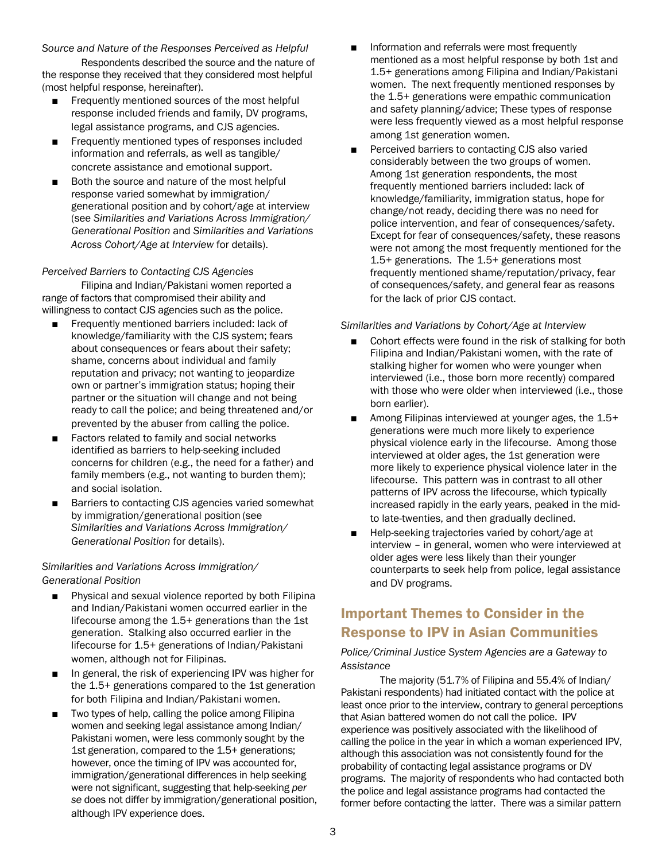#### *Source and Nature of the Responses Perceived as Helpful*

Respondents described the source and the nature of the response they received that they considered most helpful (most helpful response, hereinafter).

- Frequently mentioned sources of the most helpful response included friends and family, DV programs, legal assistance programs, and CJS agencies.
- Frequently mentioned types of responses included information and referrals, as well as tangible/ concrete assistance and emotional support.
- Both the source and nature of the most helpful response varied somewhat by immigration/ generational position and by cohort/age at interview (see *Similarities and Variations Across Immigration/ Generational Position* and *Similarities and Variations Across Cohort/Age at Interview* for details).

#### *Perceived Barriers to Contacting CJS Agencies*

Filipina and Indian/Pakistani women reported a range of factors that compromised their ability and willingness to contact CJS agencies such as the police.

- Frequently mentioned barriers included: lack of knowledge/familiarity with the CJS system; fears about consequences or fears about their safety; shame, concerns about individual and family reputation and privacy; not wanting to jeopardize own or partner's immigration status; hoping their partner or the situation will change and not being ready to call the police; and being threatened and/or prevented by the abuser from calling the police.
- Factors related to family and social networks identified as barriers to help-seeking included concerns for children (e.g., the need for a father) and family members (e.g., not wanting to burden them); and social isolation.
- Barriers to contacting CJS agencies varied somewhat by immigration/generational position (see *Similarities and Variations Across Immigration/ Generational Position* for details).

#### *Similarities and Variations Across Immigration/ Generational Position*

- Physical and sexual violence reported by both Filipina and Indian/Pakistani women occurred earlier in the lifecourse among the 1.5+ generations than the 1st generation. Stalking also occurred earlier in the lifecourse for 1.5+ generations of Indian/Pakistani women, although not for Filipinas.
- In general, the risk of experiencing IPV was higher for the 1.5+ generations compared to the 1st generation for both Filipina and Indian/Pakistani women.
- Two types of help, calling the police among Filipina women and seeking legal assistance among Indian/ Pakistani women, were less commonly sought by the 1st generation, compared to the 1.5+ generations; however, once the timing of IPV was accounted for, immigration/generational differences in help seeking were not significant, suggesting that help-seeking *per se* does not differ by immigration/generational position, although IPV experience does.
- Information and referrals were most frequently mentioned as a most helpful response by both 1st and 1.5+ generations among Filipina and Indian/Pakistani women. The next frequently mentioned responses by the 1.5+ generations were empathic communication and safety planning/advice; These types of response were less frequently viewed as a most helpful response among 1st generation women.
- Perceived barriers to contacting CJS also varied considerably between the two groups of women. Among 1st generation respondents, the most frequently mentioned barriers included: lack of knowledge/familiarity, immigration status, hope for change/not ready, deciding there was no need for police intervention, and fear of consequences/safety. Except for fear of consequences/safety, these reasons were not among the most frequently mentioned for the 1.5+ generations. The 1.5+ generations most frequently mentioned shame/reputation/privacy, fear of consequences/safety, and general fear as reasons for the lack of prior CJS contact.

#### *Similarities and Variations by Cohort/Age at Interview*

- Cohort effects were found in the risk of stalking for both Filipina and Indian/Pakistani women, with the rate of stalking higher for women who were younger when interviewed (i.e., those born more recently) compared with those who were older when interviewed (i.e., those born earlier).
- Among Filipinas interviewed at younger ages, the 1.5+ generations were much more likely to experience physical violence early in the lifecourse. Among those interviewed at older ages, the 1st generation were more likely to experience physical violence later in the lifecourse. This pattern was in contrast to all other patterns of IPV across the lifecourse, which typically increased rapidly in the early years, peaked in the midto late-twenties, and then gradually declined.
- Help-seeking trajectories varied by cohort/age at interview – in general, women who were interviewed at older ages were less likely than their younger counterparts to seek help from police, legal assistance and DV programs.

# Important Themes to Consider in the Response to IPV in Asian Communities

*Police/Criminal Justice System Agencies are a Gateway to Assistance*

The majority (51.7% of Filipina and 55.4% of Indian/ Pakistani respondents) had initiated contact with the police at least once prior to the interview, contrary to general perceptions that Asian battered women do not call the police. IPV experience was positively associated with the likelihood of calling the police in the year in which a woman experienced IPV, although this association was not consistently found for the probability of contacting legal assistance programs or DV programs. The majority of respondents who had contacted both the police and legal assistance programs had contacted the former before contacting the latter. There was a similar pattern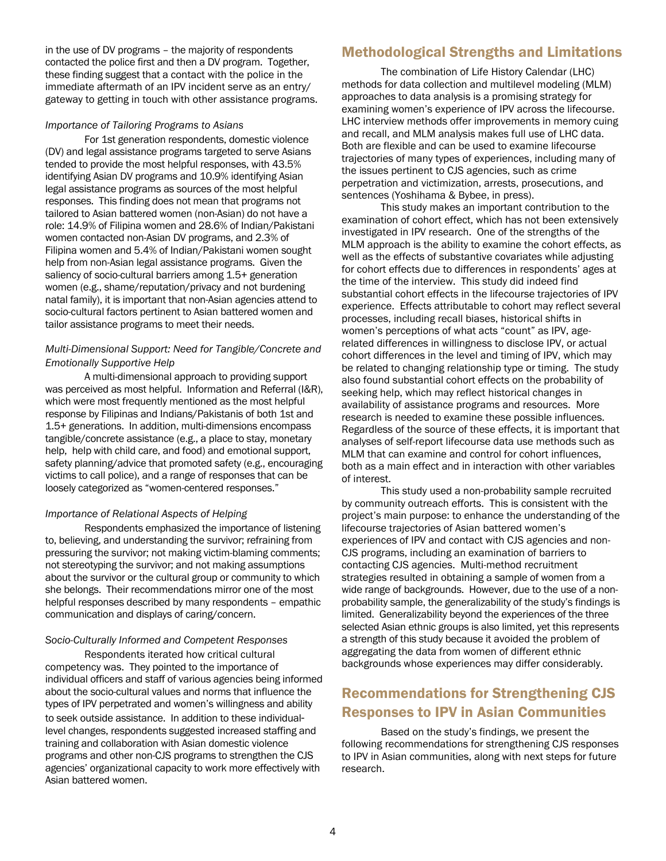in the use of DV programs – the majority of respondents contacted the police first and then a DV program. Together, these finding suggest that a contact with the police in the immediate aftermath of an IPV incident serve as an entry/ gateway to getting in touch with other assistance programs.

#### *Importance of Tailoring Programs to Asians*

For 1st generation respondents, domestic violence (DV) and legal assistance programs targeted to serve Asians tended to provide the most helpful responses, with 43.5% identifying Asian DV programs and 10.9% identifying Asian legal assistance programs as sources of the most helpful responses. This finding does not mean that programs not tailored to Asian battered women (non-Asian) do not have a role: 14.9% of Filipina women and 28.6% of Indian/Pakistani women contacted non-Asian DV programs, and 2.3% of Filipina women and 5.4% of Indian/Pakistani women sought help from non-Asian legal assistance programs. Given the saliency of socio-cultural barriers among 1.5+ generation women (e.g., shame/reputation/privacy and not burdening natal family), it is important that non-Asian agencies attend to socio-cultural factors pertinent to Asian battered women and tailor assistance programs to meet their needs.

### *Multi-Dimensional Support: Need for Tangible/Concrete and Emotionally Supportive Help*

A multi-dimensional approach to providing support was perceived as most helpful. Information and Referral (I&R), which were most frequently mentioned as the most helpful response by Filipinas and Indians/Pakistanis of both 1st and 1.5+ generations. In addition, multi-dimensions encompass tangible/concrete assistance (e.g., a place to stay, monetary help, help with child care, and food) and emotional support, safety planning/advice that promoted safety (e.g., encouraging victims to call police), and a range of responses that can be loosely categorized as "women-centered responses."

#### *Importance of Relational Aspects of Helping*

Respondents emphasized the importance of listening to, believing, and understanding the survivor; refraining from pressuring the survivor; not making victim-blaming comments; not stereotyping the survivor; and not making assumptions about the survivor or the cultural group or community to which she belongs. Their recommendations mirror one of the most helpful responses described by many respondents – empathic communication and displays of caring/concern.

### *Socio-Culturally Informed and Competent Responses*

Respondents iterated how critical cultural competency was. They pointed to the importance of individual officers and staff of various agencies being informed about the socio-cultural values and norms that influence the types of IPV perpetrated and women's willingness and ability to seek outside assistance. In addition to these individuallevel changes, respondents suggested increased staffing and training and collaboration with Asian domestic violence programs and other non-CJS programs to strengthen the CJS agencies' organizational capacity to work more effectively with Asian battered women.

## Methodological Strengths and Limitations

The combination of Life History Calendar (LHC) methods for data collection and multilevel modeling (MLM) approaches to data analysis is a promising strategy for examining women's experience of IPV across the lifecourse. LHC interview methods offer improvements in memory cuing and recall, and MLM analysis makes full use of LHC data. Both are flexible and can be used to examine lifecourse trajectories of many types of experiences, including many of the issues pertinent to CJS agencies, such as crime perpetration and victimization, arrests, prosecutions, and sentences (Yoshihama & Bybee, in press).

This study makes an important contribution to the examination of cohort effect, which has not been extensively investigated in IPV research. One of the strengths of the MLM approach is the ability to examine the cohort effects, as well as the effects of substantive covariates while adjusting for cohort effects due to differences in respondents' ages at the time of the interview. This study did indeed find substantial cohort effects in the lifecourse trajectories of IPV experience. Effects attributable to cohort may reflect several processes, including recall biases, historical shifts in women's perceptions of what acts "count" as IPV, agerelated differences in willingness to disclose IPV, or actual cohort differences in the level and timing of IPV, which may be related to changing relationship type or timing. The study also found substantial cohort effects on the probability of seeking help, which may reflect historical changes in availability of assistance programs and resources. More research is needed to examine these possible influences. Regardless of the source of these effects, it is important that analyses of self-report lifecourse data use methods such as MLM that can examine and control for cohort influences, both as a main effect and in interaction with other variables of interest.

This study used a non-probability sample recruited by community outreach efforts. This is consistent with the project's main purpose: to enhance the understanding of the lifecourse trajectories of Asian battered women's experiences of IPV and contact with CJS agencies and non-CJS programs, including an examination of barriers to contacting CJS agencies. Multi-method recruitment strategies resulted in obtaining a sample of women from a wide range of backgrounds. However, due to the use of a nonprobability sample, the generalizability of the study's findings is limited. Generalizability beyond the experiences of the three selected Asian ethnic groups is also limited, yet this represents a strength of this study because it avoided the problem of aggregating the data from women of different ethnic backgrounds whose experiences may differ considerably.

# Recommendations for Strengthening CJS Responses to IPV in Asian Communities

Based on the study's findings, we present the following recommendations for strengthening CJS responses to IPV in Asian communities, along with next steps for future research.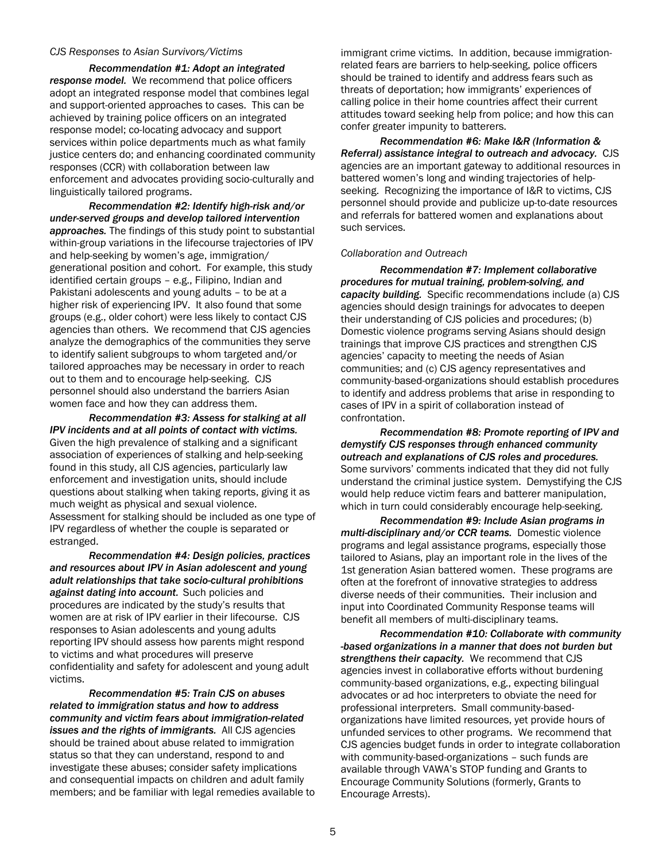#### *CJS Responses to Asian Survivors/Victims*

*Recommendation #1: Adopt an integrated response model.* We recommend that police officers adopt an integrated response model that combines legal and support-oriented approaches to cases. This can be achieved by training police officers on an integrated response model; co-locating advocacy and support services within police departments much as what family justice centers do; and enhancing coordinated community responses (CCR) with collaboration between law enforcement and advocates providing socio-culturally and linguistically tailored programs.

*Recommendation #2: Identify high-risk and/or under-served groups and develop tailored intervention approaches.* The findings of this study point to substantial within-group variations in the lifecourse trajectories of IPV and help-seeking by women's age, immigration/ generational position and cohort. For example, this study identified certain groups – e.g., Filipino, Indian and Pakistani adolescents and young adults – to be at a higher risk of experiencing IPV. It also found that some groups (e.g., older cohort) were less likely to contact CJS agencies than others. We recommend that CJS agencies analyze the demographics of the communities they serve to identify salient subgroups to whom targeted and/or tailored approaches may be necessary in order to reach out to them and to encourage help-seeking. CJS personnel should also understand the barriers Asian women face and how they can address them.

*Recommendation #3: Assess for stalking at all IPV incidents and at all points of contact with victims.* Given the high prevalence of stalking and a significant association of experiences of stalking and help-seeking found in this study, all CJS agencies, particularly law enforcement and investigation units, should include questions about stalking when taking reports, giving it as much weight as physical and sexual violence. Assessment for stalking should be included as one type of IPV regardless of whether the couple is separated or estranged.

*Recommendation #4: Design policies, practices and resources about IPV in Asian adolescent and young adult relationships that take socio-cultural prohibitions against dating into account.* Such policies and procedures are indicated by the study's results that women are at risk of IPV earlier in their lifecourse. CJS responses to Asian adolescents and young adults reporting IPV should assess how parents might respond to victims and what procedures will preserve confidentiality and safety for adolescent and young adult victims.

*Recommendation #5: Train CJS on abuses related to immigration status and how to address community and victim fears about immigration-related issues and the rights of immigrants.* All CJS agencies should be trained about abuse related to immigration status so that they can understand, respond to and investigate these abuses; consider safety implications and consequential impacts on children and adult family members; and be familiar with legal remedies available to immigrant crime victims. In addition, because immigrationrelated fears are barriers to help-seeking, police officers should be trained to identify and address fears such as threats of deportation; how immigrants' experiences of calling police in their home countries affect their current attitudes toward seeking help from police; and how this can confer greater impunity to batterers.

*Recommendation #6: Make I&R (Information & Referral) assistance integral to outreach and advocacy.* CJS agencies are an important gateway to additional resources in battered women's long and winding trajectories of helpseeking. Recognizing the importance of I&R to victims, CJS personnel should provide and publicize up-to-date resources and referrals for battered women and explanations about such services.

#### *Collaboration and Outreach*

*Recommendation #7: Implement collaborative procedures for mutual training, problem-solving, and capacity building.* Specific recommendations include (a) CJS agencies should design trainings for advocates to deepen their understanding of CJS policies and procedures; (b) Domestic violence programs serving Asians should design trainings that improve CJS practices and strengthen CJS agencies' capacity to meeting the needs of Asian communities; and (c) CJS agency representatives and community-based-organizations should establish procedures to identify and address problems that arise in responding to cases of IPV in a spirit of collaboration instead of confrontation.

*Recommendation #8: Promote reporting of IPV and demystify CJS responses through enhanced community outreach and explanations of CJS roles and procedures.* Some survivors' comments indicated that they did not fully understand the criminal justice system. Demystifying the CJS would help reduce victim fears and batterer manipulation, which in turn could considerably encourage help-seeking.

*Recommendation #9: Include Asian programs in multi-disciplinary and/or CCR teams.* Domestic violence programs and legal assistance programs, especially those tailored to Asians, play an important role in the lives of the 1st generation Asian battered women. These programs are often at the forefront of innovative strategies to address diverse needs of their communities. Their inclusion and input into Coordinated Community Response teams will benefit all members of multi-disciplinary teams.

*Recommendation #10: Collaborate with community -based organizations in a manner that does not burden but strengthens their capacity.* We recommend that CJS agencies invest in collaborative efforts without burdening community-based organizations, e.g., expecting bilingual advocates or ad hoc interpreters to obviate the need for professional interpreters. Small community-basedorganizations have limited resources, yet provide hours of unfunded services to other programs. We recommend that CJS agencies budget funds in order to integrate collaboration with community-based-organizations – such funds are available through VAWA's STOP funding and Grants to Encourage Community Solutions (formerly, Grants to Encourage Arrests).